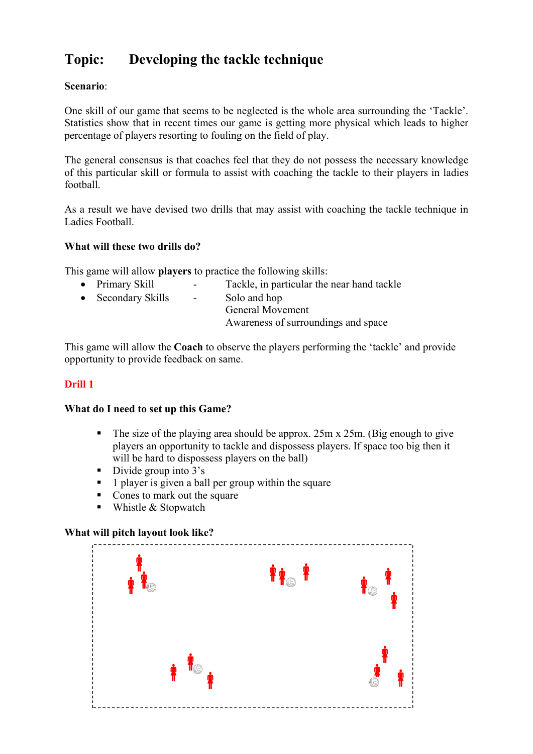# **Topic: Developing the tackle technique**

# **Scenario**:

One skill of our game that seems to be neglected is the whole area surrounding the 'Tackle'. Statistics show that in recent times our game is getting more physical which leads to higher percentage of players resorting to fouling on the field of play.

The general consensus is that coaches feel that they do not possess the necessary knowledge of this particular skill or formula to assist with coaching the tackle to their players in ladies football.

As a result we have devised two drills that may assist with coaching the tackle technique in Ladies Football.

#### **What will these two drills do?**

This game will allow **players** to practice the following skills:

| • Primary Skill    | $\overline{\phantom{a}}$ | Tackle, in particular the near hand tackle |
|--------------------|--------------------------|--------------------------------------------|
| • Secondary Skills | $\sim$                   | Solo and hop                               |
|                    |                          | <b>General Movement</b>                    |
|                    |                          | Awareness of surroundings and space        |
|                    |                          |                                            |

This game will allow the **Coach** to observe the players performing the 'tackle' and provide opportunity to provide feedback on same.

# **Drill 1**

#### **What do I need to set up this Game?**

- The size of the playing area should be approx.  $25m \times 25m$ . (Big enough to give players an opportunity to tackle and dispossess players. If space too big then it will be hard to dispossess players on the ball)
- Divide group into 3's
- **1** player is given a ball per group within the square
- Cones to mark out the square
- $\blacksquare$  Whistle & Stopwatch

#### **What will pitch layout look like?**

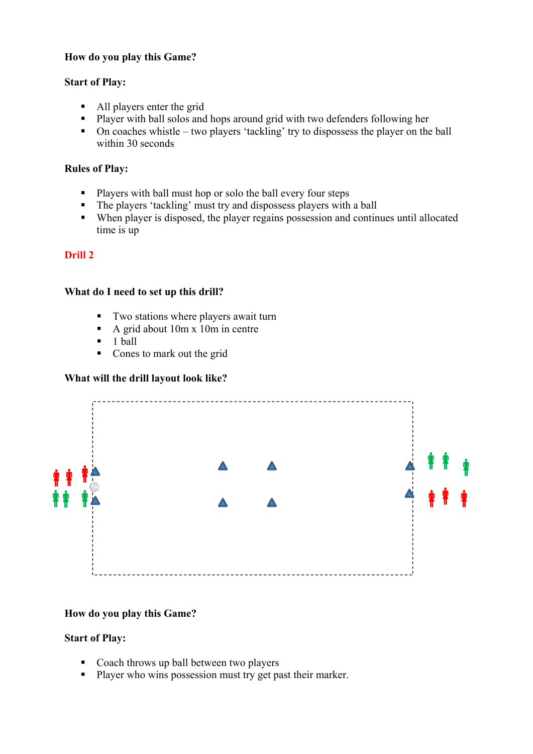#### **How do you play this Game?**

#### **Start of Play:**

- All players enter the grid
- **Player with ball solos and hops around grid with two defenders following her**
- $\blacksquare$  On coaches whistle two players 'tackling' try to dispossess the player on the ball within 30 seconds

#### **Rules of Play:**

- **Players with ball must hop or solo the ball every four steps**
- The players 'tackling' must try and dispossess players with a ball
- When player is disposed, the player regains possession and continues until allocated time is up

## **Drill 2**

#### **What do I need to set up this drill?**

- Two stations where players await turn
- A grid about  $10m \times 10m$  in centre
- $\blacksquare$  1 ball
- Cones to mark out the grid

#### **What will the drill layout look like?**



## **How do you play this Game?**

## **Start of Play:**

- Coach throws up ball between two players
- **Player who wins possession must try get past their marker.**